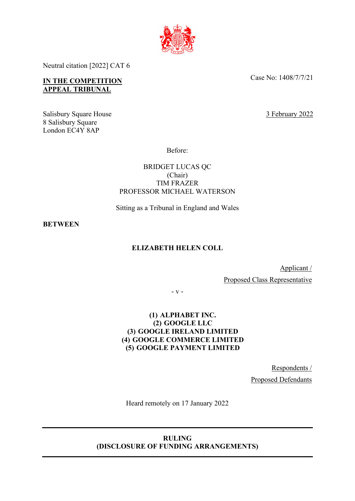

Neutral citation [2022] CAT 6

# **IN THE COMPETITION APPEAL TRIBUNAL**

Salisbury Square House 8 Salisbury Square London EC4Y 8AP

Case No: 1408/7/7/21

3 February 2022

Before:

BRIDGET LUCAS QC (Chair) TIM FRAZER PROFESSOR MICHAEL WATERSON

Sitting as a Tribunal in England and Wales

**BETWEEN**

# **ELIZABETH HELEN COLL**

Applicant / Proposed Class Representative

- v -

# **(1) ALPHABET INC. (2) GOOGLE LLC (3) GOOGLE IRELAND LIMITED (4) GOOGLE COMMERCE LIMITED (5) GOOGLE PAYMENT LIMITED**

Respondents / Proposed Defendants

Heard remotely on 17 January 2022

## **RULING (DISCLOSURE OF FUNDING ARRANGEMENTS)**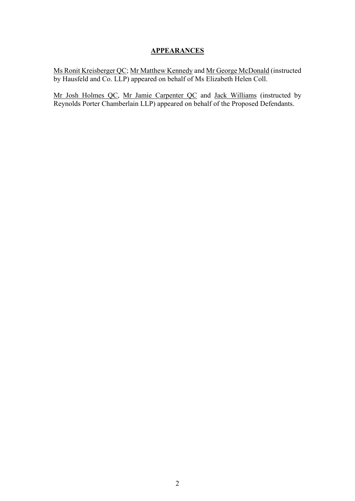### **APPEARANCES**

Ms Ronit Kreisberger QC; Mr Matthew Kennedy and Mr George McDonald (instructed by Hausfeld and Co. LLP) appeared on behalf of Ms Elizabeth Helen Coll.

Mr Josh Holmes QC, Mr Jamie Carpenter QC and Jack Williams (instructed by Reynolds Porter Chamberlain LLP) appeared on behalf of the Proposed Defendants.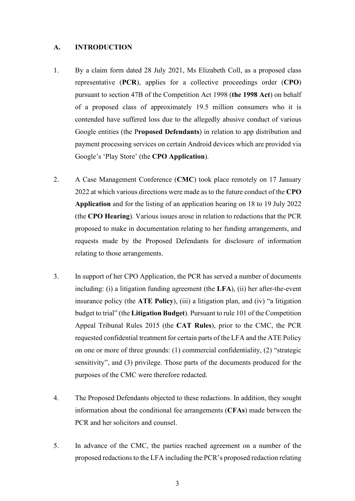### **A. INTRODUCTION**

- 1. By a claim form dated 28 July 2021, Ms Elizabeth Coll, as a proposed class representative (**PCR**), applies for a collective proceedings order (**CPO**) pursuant to section 47B of the Competition Act 1998 (**the 1998 Act**) on behalf of a proposed class of approximately 19.5 million consumers who it is contended have suffered loss due to the allegedly abusive conduct of various Google entities (the P**roposed Defendants**) in relation to app distribution and payment processing services on certain Android devices which are provided via Google's 'Play Store' (the **CPO Application**).
- 2. A Case Management Conference (**CMC**) took place remotely on 17 January 2022 at which various directions were made as to the future conduct of the **CPO Application** and for the listing of an application hearing on 18 to 19 July 2022 (the **CPO Hearing**). Various issues arose in relation to redactions that the PCR proposed to make in documentation relating to her funding arrangements, and requests made by the Proposed Defendants for disclosure of information relating to those arrangements.
- 3. In support of her CPO Application, the PCR has served a number of documents including: (i) a litigation funding agreement (the **LFA**), (ii) her after-the-event insurance policy (the **ATE Policy**), (iii) a litigation plan, and (iv) "a litigation budget to trial" (the **Litigation Budget**). Pursuant to rule 101 of the Competition Appeal Tribunal Rules 2015 (the **CAT Rules**), prior to the CMC, the PCR requested confidential treatment for certain parts of the LFA and the ATE Policy on one or more of three grounds: (1) commercial confidentiality, (2) "strategic sensitivity", and (3) privilege. Those parts of the documents produced for the purposes of the CMC were therefore redacted.
- 4. The Proposed Defendants objected to these redactions. In addition, they sought information about the conditional fee arrangements (**CFAs**) made between the PCR and her solicitors and counsel.
- 5. In advance of the CMC, the parties reached agreement on a number of the proposed redactions to the LFA including the PCR's proposed redaction relating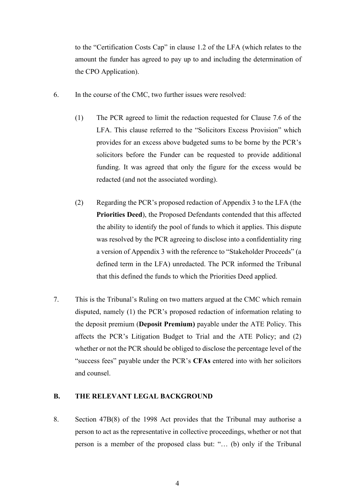to the "Certification Costs Cap" in clause 1.2 of the LFA (which relates to the amount the funder has agreed to pay up to and including the determination of the CPO Application).

- 6. In the course of the CMC, two further issues were resolved:
	- (1) The PCR agreed to limit the redaction requested for Clause 7.6 of the LFA. This clause referred to the "Solicitors Excess Provision" which provides for an excess above budgeted sums to be borne by the PCR's solicitors before the Funder can be requested to provide additional funding. It was agreed that only the figure for the excess would be redacted (and not the associated wording).
	- (2) Regarding the PCR's proposed redaction of Appendix 3 to the LFA (the **Priorities Deed**), the Proposed Defendants contended that this affected the ability to identify the pool of funds to which it applies. This dispute was resolved by the PCR agreeing to disclose into a confidentiality ring a version of Appendix 3 with the reference to "Stakeholder Proceeds" (a defined term in the LFA) unredacted. The PCR informed the Tribunal that this defined the funds to which the Priorities Deed applied.
- 7. This is the Tribunal's Ruling on two matters argued at the CMC which remain disputed, namely (1) the PCR's proposed redaction of information relating to the deposit premium (**Deposit Premium)** payable under the ATE Policy. This affects the PCR's Litigation Budget to Trial and the ATE Policy; and (2) whether or not the PCR should be obliged to disclose the percentage level of the "success fees" payable under the PCR's **CFAs** entered into with her solicitors and counsel.

## **B. THE RELEVANT LEGAL BACKGROUND**

8. Section 47B(8) of the 1998 Act provides that the Tribunal may authorise a person to act as the representative in collective proceedings, whether or not that person is a member of the proposed class but: "… (b) only if the Tribunal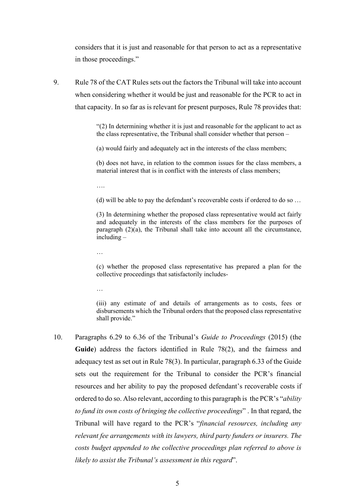considers that it is just and reasonable for that person to act as a representative in those proceedings."

9. Rule 78 of the CAT Rules sets out the factors the Tribunal will take into account when considering whether it would be just and reasonable for the PCR to act in that capacity. In so far as is relevant for present purposes, Rule 78 provides that:

> "(2) In determining whether it is just and reasonable for the applicant to act as the class representative, the Tribunal shall consider whether that person –

(a) would fairly and adequately act in the interests of the class members;

(b) does not have, in relation to the common issues for the class members, a material interest that is in conflict with the interests of class members;

….

(d) will be able to pay the defendant's recoverable costs if ordered to do so …

(3) In determining whether the proposed class representative would act fairly and adequately in the interests of the class members for the purposes of paragraph (2)(a), the Tribunal shall take into account all the circumstance, including –

…

(c) whether the proposed class representative has prepared a plan for the collective proceedings that satisfactorily includes-

…

(iii) any estimate of and details of arrangements as to costs, fees or disbursements which the Tribunal orders that the proposed class representative shall provide."

10. Paragraphs 6.29 to 6.36 of the Tribunal's *Guide to Proceedings* (2015) (the **Guide**) address the factors identified in Rule 78(2), and the fairness and adequacy test as set out in Rule 78(3). In particular, paragraph 6.33 of the Guide sets out the requirement for the Tribunal to consider the PCR's financial resources and her ability to pay the proposed defendant's recoverable costs if ordered to do so. Also relevant, according to this paragraph is the PCR's "*ability to fund its own costs of bringing the collective proceedings*" . In that regard, the Tribunal will have regard to the PCR's "*financial resources, including any relevant fee arrangements with its lawyers, third party funders or insurers. The costs budget appended to the collective proceedings plan referred to above is likely to assist the Tribunal's assessment in this regard*".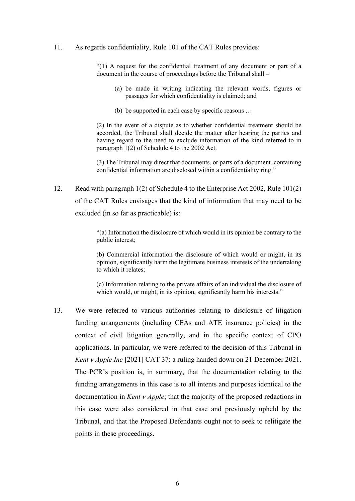#### 11. As regards confidentiality, Rule 101 of the CAT Rules provides:

"(1) A request for the confidential treatment of any document or part of a document in the course of proceedings before the Tribunal shall –

- (a) be made in writing indicating the relevant words, figures or passages for which confidentiality is claimed; and
- (b) be supported in each case by specific reasons …

(2) In the event of a dispute as to whether confidential treatment should be accorded, the Tribunal shall decide the matter after hearing the parties and having regard to the need to exclude information of the kind referred to in paragraph 1(2) of Schedule 4 to the 2002 Act.

(3) The Tribunal may direct that documents, or parts of a document, containing confidential information are disclosed within a confidentiality ring."

12. Read with paragraph 1(2) of Schedule 4 to the Enterprise Act 2002, Rule 101(2) of the CAT Rules envisages that the kind of information that may need to be excluded (in so far as practicable) is:

> "(a) Information the disclosure of which would in its opinion be contrary to the public interest;

> (b) Commercial information the disclosure of which would or might, in its opinion, significantly harm the legitimate business interests of the undertaking to which it relates;

> (c) Information relating to the private affairs of an individual the disclosure of which would, or might, in its opinion, significantly harm his interests."

13. We were referred to various authorities relating to disclosure of litigation funding arrangements (including CFAs and ATE insurance policies) in the context of civil litigation generally, and in the specific context of CPO applications. In particular, we were referred to the decision of this Tribunal in *Kent v Apple Inc* [2021] CAT 37: a ruling handed down on 21 December 2021. The PCR's position is, in summary, that the documentation relating to the funding arrangements in this case is to all intents and purposes identical to the documentation in *Kent v Apple*; that the majority of the proposed redactions in this case were also considered in that case and previously upheld by the Tribunal, and that the Proposed Defendants ought not to seek to relitigate the points in these proceedings.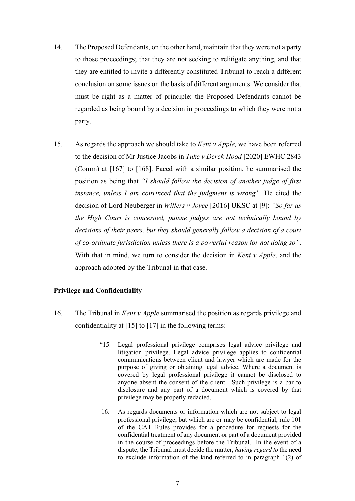- 14. The Proposed Defendants, on the other hand, maintain that they were not a party to those proceedings; that they are not seeking to relitigate anything, and that they are entitled to invite a differently constituted Tribunal to reach a different conclusion on some issues on the basis of different arguments. We consider that must be right as a matter of principle: the Proposed Defendants cannot be regarded as being bound by a decision in proceedings to which they were not a party.
- 15. As regards the approach we should take to *Kent v Apple,* we have been referred to the decision of Mr Justice Jacobs in *Tuke v Derek Hood* [2020] EWHC 2843 (Comm) at [167] to [168]. Faced with a similar position, he summarised the position as being that *"I should follow the decision of another judge of first instance, unless I am convinced that the judgment is wrong"*. He cited the decision of Lord Neuberger in *Willers v Joyce* [2016] UKSC at [9]: *"So far as the High Court is concerned, puisne judges are not technically bound by decisions of their peers, but they should generally follow a decision of a court of co-ordinate jurisdiction unless there is a powerful reason for not doing so"*. With that in mind, we turn to consider the decision in *Kent v Apple*, and the approach adopted by the Tribunal in that case.

## **Privilege and Confidentiality**

- 16. The Tribunal in *Kent v Apple* summarised the position as regards privilege and confidentiality at  $[15]$  to  $[17]$  in the following terms:
	- "15. Legal professional privilege comprises legal advice privilege and litigation privilege. Legal advice privilege applies to confidential communications between client and lawyer which are made for the purpose of giving or obtaining legal advice. Where a document is covered by legal professional privilege it cannot be disclosed to anyone absent the consent of the client. Such privilege is a bar to disclosure and any part of a document which is covered by that privilege may be properly redacted.
	- 16. As regards documents or information which are not subject to legal professional privilege, but which are or may be confidential, rule 101 of the CAT Rules provides for a procedure for requests for the confidential treatment of any document or part of a document provided in the course of proceedings before the Tribunal. In the event of a dispute, the Tribunal must decide the matter, *having regard to* the need to exclude information of the kind referred to in paragraph 1(2) of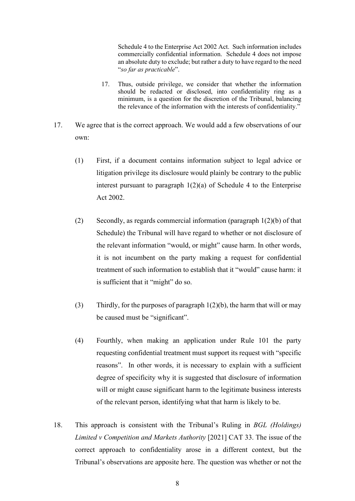Schedule 4 to the Enterprise Act 2002 Act. Such information includes commercially confidential information. Schedule 4 does not impose an absolute duty to exclude; but rather a duty to have regard to the need "*so far as practicable*".

- 17. Thus, outside privilege, we consider that whether the information should be redacted or disclosed, into confidentiality ring as a minimum, is a question for the discretion of the Tribunal, balancing the relevance of the information with the interests of confidentiality."
- 17. We agree that is the correct approach. We would add a few observations of our own:
	- (1) First, if a document contains information subject to legal advice or litigation privilege its disclosure would plainly be contrary to the public interest pursuant to paragraph 1(2)(a) of Schedule 4 to the Enterprise Act 2002.
	- (2) Secondly, as regards commercial information (paragraph 1(2)(b) of that Schedule) the Tribunal will have regard to whether or not disclosure of the relevant information "would, or might" cause harm. In other words, it is not incumbent on the party making a request for confidential treatment of such information to establish that it "would" cause harm: it is sufficient that it "might" do so.
	- (3) Thirdly, for the purposes of paragraph  $1(2)(b)$ , the harm that will or may be caused must be "significant".
	- (4) Fourthly, when making an application under Rule 101 the party requesting confidential treatment must support its request with "specific reasons". In other words, it is necessary to explain with a sufficient degree of specificity why it is suggested that disclosure of information will or might cause significant harm to the legitimate business interests of the relevant person, identifying what that harm is likely to be.
- 18. This approach is consistent with the Tribunal's Ruling in *BGL (Holdings) Limited v Competition and Markets Authority* [2021] CAT 33. The issue of the correct approach to confidentiality arose in a different context, but the Tribunal's observations are apposite here. The question was whether or not the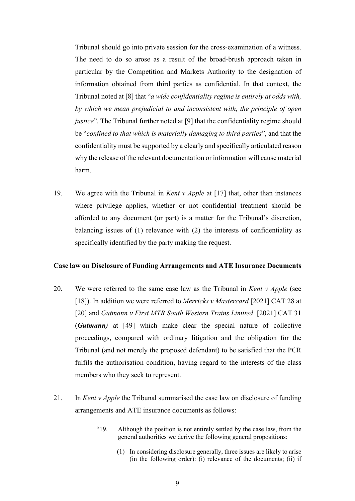Tribunal should go into private session for the cross-examination of a witness. The need to do so arose as a result of the broad-brush approach taken in particular by the Competition and Markets Authority to the designation of information obtained from third parties as confidential. In that context, the Tribunal noted at [8] that "*a wide confidentiality regime is entirely at odds with, by which we mean prejudicial to and inconsistent with, the principle of open justice*". The Tribunal further noted at [9] that the confidentiality regime should be "*confined to that which is materially damaging to third parties*", and that the confidentiality must be supported by a clearly and specifically articulated reason why the release of the relevant documentation or information will cause material harm.

19. We agree with the Tribunal in *Kent v Apple* at [17] that, other than instances where privilege applies, whether or not confidential treatment should be afforded to any document (or part) is a matter for the Tribunal's discretion, balancing issues of (1) relevance with (2) the interests of confidentiality as specifically identified by the party making the request.

### **Case law on Disclosure of Funding Arrangements and ATE Insurance Documents**

- 20. We were referred to the same case law as the Tribunal in *Kent v Apple* (see [18]). In addition we were referred to *Merricks v Mastercard* [2021] CAT 28 at [20] and *Gutmann v First MTR South Western Trains Limited* [2021] CAT 31 (*Gutmann)* at [49] which make clear the special nature of collective proceedings, compared with ordinary litigation and the obligation for the Tribunal (and not merely the proposed defendant) to be satisfied that the PCR fulfils the authorisation condition, having regard to the interests of the class members who they seek to represent.
- 21. In *Kent v Apple* the Tribunal summarised the case law on disclosure of funding arrangements and ATE insurance documents as follows:
	- "19. Although the position is not entirely settled by the case law, from the general authorities we derive the following general propositions:
		- (1) In considering disclosure generally, three issues are likely to arise (in the following order): (i) relevance of the documents; (ii) if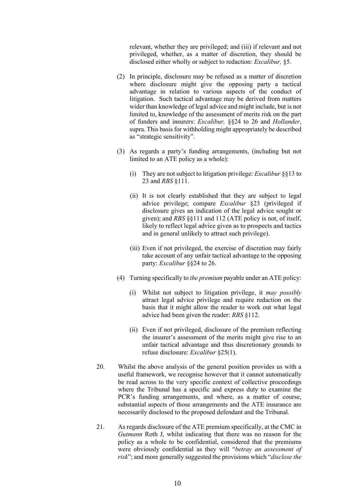relevant, whether they are privileged; and (iii) if relevant and not privileged, whether, as a matter of discretion, they should be disclosed either wholly or subject to redaction: *Excalibur,* §5.

- (2) In principle, disclosure may be refused as a matter of discretion where disclosure might give the opposing party a tactical advantage in relation to various aspects of the conduct of litigation. Such tactical advantage may be derived from matters wider than knowledge of legal advice and might include, but is not limited to, knowledge of the assessment of merits risk on the part of funders and insurers: *Excalibur,* §§24 to 26 and *Hollander*, supra. This basis for withholding might appropriately be described as "strategic sensitivity".
- (3) As regards a party's funding arrangements, (including but not limited to an ATE policy as a whole):
	- (i) They are not subject to litigation privilege: *Excalibur* §§13 to 23 and *RBS* §111.
	- (ii) It is not clearly established that they are subject to legal advice privilege; compare *Excalibur* §23 (privileged if disclosure gives an indication of the legal advice sought or given); and *RBS* §§111 and 112 (ATE policy is not, of itself, likely to reflect legal advice given as to prospects and tactics and in general unlikely to attract such privilege).
	- (iii) Even if not privileged, the exercise of discretion may fairly take account of any unfair tactical advantage to the opposing party: *Excalibur* §§24 to 26.
- (4) Turning specifically to *the premium* payable under an ATE policy:
	- (i) Whilst not subject to litigation privilege, it *may possibly*  attract legal advice privilege and require redaction on the basis that it might allow the reader to work out what legal advice had been given the reader: *RBS* §112.
	- (ii) Even if not privileged, disclosure of the premium reflecting the insurer's assessment of the merits might give rise to an unfair tactical advantage and thus discretionary grounds to refuse disclosure: *Excalibur* §25(1).
- 20. Whilst the above analysis of the general position provides us with a useful framework, we recognise however that it cannot automatically be read across to the very specific context of collective proceedings where the Tribunal has a specific and express duty to examine the PCR's funding arrangements, and where, as a matter of course, substantial aspects of those arrangements and the ATE insurance are necessarily disclosed to the proposed defendant and the Tribunal.
- 21. As regards disclosure of the ATE premium specifically, at the CMC in *Gutmann* Roth J, whilst indicating that there was no reason for the policy as a whole to be confidential, considered that the premiums were obviously confidential as they will "*betray an assessment of risk*"; and more generally suggested the provisions which "*disclose the*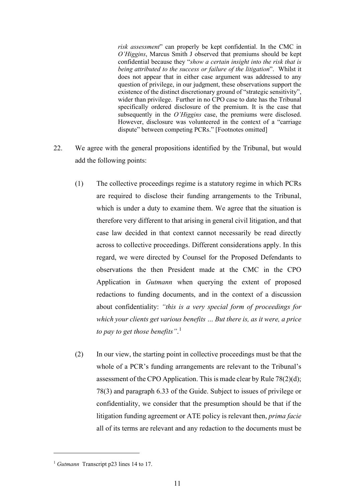*risk assessment*" can properly be kept confidential. In the CMC in *O'Higgins*, Marcus Smith J observed that premiums should be kept confidential because they "*show a certain insight into the risk that is being attributed to the success or failure of the litigation*". Whilst it does not appear that in either case argument was addressed to any question of privilege, in our judgment, these observations support the existence of the distinct discretionary ground of "strategic sensitivity", wider than privilege. Further in no CPO case to date has the Tribunal specifically ordered disclosure of the premium. It is the case that subsequently in the *O'Higgins* case, the premiums were disclosed. However, disclosure was volunteered in the context of a "carriage dispute" between competing PCRs." [Footnotes omitted]

- 22. We agree with the general propositions identified by the Tribunal, but would add the following points:
	- (1) The collective proceedings regime is a statutory regime in which PCRs are required to disclose their funding arrangements to the Tribunal, which is under a duty to examine them. We agree that the situation is therefore very different to that arising in general civil litigation, and that case law decided in that context cannot necessarily be read directly across to collective proceedings. Different considerations apply. In this regard, we were directed by Counsel for the Proposed Defendants to observations the then President made at the CMC in the CPO Application in *Gutmann* when querying the extent of proposed redactions to funding documents, and in the context of a discussion about confidentiality: *"this is a very special form of proceedings for which your clients get various benefits … But there is, as it were, a price to pay to get those benefits"*. 1
	- (2) In our view, the starting point in collective proceedings must be that the whole of a PCR's funding arrangements are relevant to the Tribunal's assessment of the CPO Application. This is made clear by Rule 78(2)(d); 78(3) and paragraph 6.33 of the Guide. Subject to issues of privilege or confidentiality, we consider that the presumption should be that if the litigation funding agreement or ATE policy is relevant then, *prima facie*  all of its terms are relevant and any redaction to the documents must be

<sup>1</sup> *Gutmann* Transcript p23 lines 14 to 17.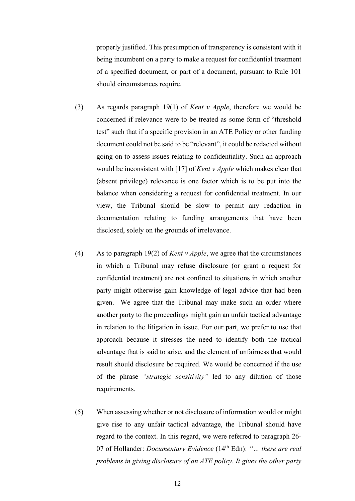properly justified. This presumption of transparency is consistent with it being incumbent on a party to make a request for confidential treatment of a specified document, or part of a document, pursuant to Rule 101 should circumstances require.

- (3) As regards paragraph 19(1) of *Kent v Apple*, therefore we would be concerned if relevance were to be treated as some form of "threshold test" such that if a specific provision in an ATE Policy or other funding document could not be said to be "relevant", it could be redacted without going on to assess issues relating to confidentiality. Such an approach would be inconsistent with [17] of *Kent v Apple* which makes clear that (absent privilege) relevance is one factor which is to be put into the balance when considering a request for confidential treatment. In our view, the Tribunal should be slow to permit any redaction in documentation relating to funding arrangements that have been disclosed, solely on the grounds of irrelevance.
- (4) As to paragraph 19(2) of *Kent v Apple*, we agree that the circumstances in which a Tribunal may refuse disclosure (or grant a request for confidential treatment) are not confined to situations in which another party might otherwise gain knowledge of legal advice that had been given. We agree that the Tribunal may make such an order where another party to the proceedings might gain an unfair tactical advantage in relation to the litigation in issue. For our part, we prefer to use that approach because it stresses the need to identify both the tactical advantage that is said to arise, and the element of unfairness that would result should disclosure be required. We would be concerned if the use of the phrase *"strategic sensitivity"* led to any dilution of those requirements.
- (5) When assessing whether or not disclosure of information would or might give rise to any unfair tactical advantage, the Tribunal should have regard to the context. In this regard, we were referred to paragraph 26- 07 of Hollander: *Documentary Evidence* (14th Edn): *"… there are real problems in giving disclosure of an ATE policy. It gives the other party*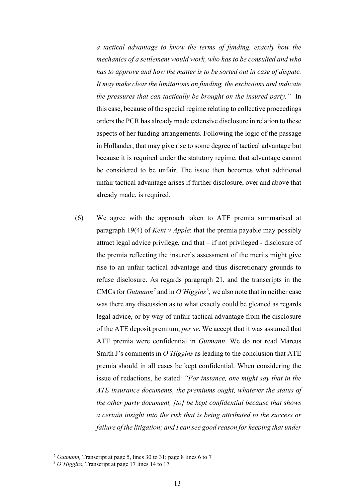*a tactical advantage to know the terms of funding, exactly how the mechanics of a settlement would work, who has to be consulted and who has to approve and how the matter is to be sorted out in case of dispute. It may make clear the limitations on funding, the exclusions and indicate the pressures that can tactically be brought on the insured party."* In this case, because of the special regime relating to collective proceedings orders the PCR has already made extensive disclosure in relation to these aspects of her funding arrangements. Following the logic of the passage in Hollander, that may give rise to some degree of tactical advantage but because it is required under the statutory regime, that advantage cannot be considered to be unfair. The issue then becomes what additional unfair tactical advantage arises if further disclosure, over and above that already made, is required.

(6) We agree with the approach taken to ATE premia summarised at paragraph 19(4) of *Kent v Apple*: that the premia payable may possibly attract legal advice privilege, and that – if not privileged - disclosure of the premia reflecting the insurer's assessment of the merits might give rise to an unfair tactical advantage and thus discretionary grounds to refuse disclosure. As regards paragraph 21, and the transcripts in the CMCs for *Gutmann<sup>2</sup>* and in *O'Higgins*<sup>3</sup> *,* we also note that in neither case was there any discussion as to what exactly could be gleaned as regards legal advice, or by way of unfair tactical advantage from the disclosure of the ATE deposit premium, *per se*. We accept that it was assumed that ATE premia were confidential in *Gutmann*. We do not read Marcus Smith J's comments in *O'Higgins* as leading to the conclusion that ATE premia should in all cases be kept confidential. When considering the issue of redactions, he stated: *"For instance, one might say that in the ATE insurance documents, the premiums ought, whatever the status of the other party document, [to] be kept confidential because that shows a certain insight into the risk that is being attributed to the success or failure of the litigation; and I can see good reason for keeping that under* 

<sup>2</sup> *Gutmann,* Transcript at page 5, lines 30 to 31; page 8 lines 6 to 7 3 *O'Higgins*, Transcript at page 17 lines 14 to 17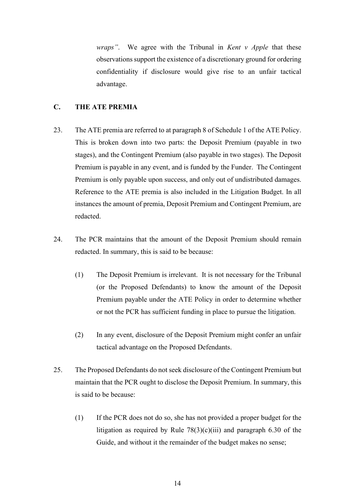*wraps"*. We agree with the Tribunal in *Kent v Apple* that these observations support the existence of a discretionary ground for ordering confidentiality if disclosure would give rise to an unfair tactical advantage.

### **C. THE ATE PREMIA**

- 23. The ATE premia are referred to at paragraph 8 of Schedule 1 of the ATE Policy. This is broken down into two parts: the Deposit Premium (payable in two stages), and the Contingent Premium (also payable in two stages). The Deposit Premium is payable in any event, and is funded by the Funder. The Contingent Premium is only payable upon success, and only out of undistributed damages. Reference to the ATE premia is also included in the Litigation Budget. In all instances the amount of premia, Deposit Premium and Contingent Premium, are redacted.
- 24. The PCR maintains that the amount of the Deposit Premium should remain redacted. In summary, this is said to be because:
	- (1) The Deposit Premium is irrelevant. It is not necessary for the Tribunal (or the Proposed Defendants) to know the amount of the Deposit Premium payable under the ATE Policy in order to determine whether or not the PCR has sufficient funding in place to pursue the litigation.
	- (2) In any event, disclosure of the Deposit Premium might confer an unfair tactical advantage on the Proposed Defendants.
- 25. The Proposed Defendants do not seek disclosure of the Contingent Premium but maintain that the PCR ought to disclose the Deposit Premium. In summary, this is said to be because:
	- (1) If the PCR does not do so, she has not provided a proper budget for the litigation as required by Rule  $78(3)(c)(iii)$  and paragraph 6.30 of the Guide, and without it the remainder of the budget makes no sense;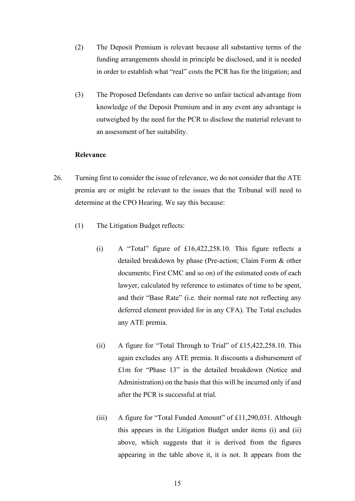- (2) The Deposit Premium is relevant because all substantive terms of the funding arrangements should in principle be disclosed, and it is needed in order to establish what "real" costs the PCR has for the litigation; and
- (3) The Proposed Defendants can derive no unfair tactical advantage from knowledge of the Deposit Premium and in any event any advantage is outweighed by the need for the PCR to disclose the material relevant to an assessment of her suitability.

## **Relevance**

- 26. Turning first to consider the issue of relevance, we do not consider that the ATE premia are or might be relevant to the issues that the Tribunal will need to determine at the CPO Hearing. We say this because:
	- (1) The Litigation Budget reflects:
		- (i) A "Total" figure of £16,422,258.10. This figure reflects a detailed breakdown by phase (Pre-action; Claim Form & other documents; First CMC and so on) of the estimated costs of each lawyer, calculated by reference to estimates of time to be spent, and their "Base Rate" (i.e. their normal rate not reflecting any deferred element provided for in any CFA). The Total excludes any ATE premia.
		- (ii) A figure for "Total Through to Trial" of £15,422,258.10. This again excludes any ATE premia. It discounts a disbursement of £1m for "Phase 13" in the detailed breakdown (Notice and Administration) on the basis that this will be incurred only if and after the PCR is successful at trial.
		- (iii) A figure for "Total Funded Amount" of £11,290,031. Although this appears in the Litigation Budget under items (i) and (ii) above, which suggests that it is derived from the figures appearing in the table above it, it is not. It appears from the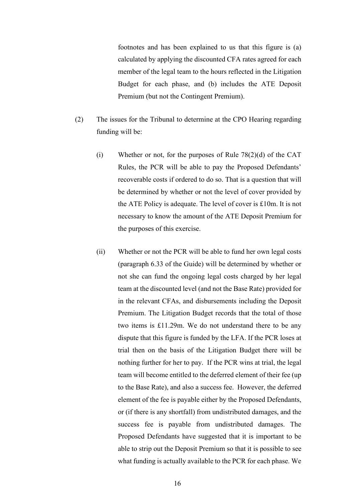footnotes and has been explained to us that this figure is (a) calculated by applying the discounted CFA rates agreed for each member of the legal team to the hours reflected in the Litigation Budget for each phase, and (b) includes the ATE Deposit Premium (but not the Contingent Premium).

- (2) The issues for the Tribunal to determine at the CPO Hearing regarding funding will be:
	- (i) Whether or not, for the purposes of Rule 78(2)(d) of the CAT Rules, the PCR will be able to pay the Proposed Defendants' recoverable costs if ordered to do so. That is a question that will be determined by whether or not the level of cover provided by the ATE Policy is adequate. The level of cover is £10m. It is not necessary to know the amount of the ATE Deposit Premium for the purposes of this exercise.
	- (ii) Whether or not the PCR will be able to fund her own legal costs (paragraph 6.33 of the Guide) will be determined by whether or not she can fund the ongoing legal costs charged by her legal team at the discounted level (and not the Base Rate) provided for in the relevant CFAs, and disbursements including the Deposit Premium. The Litigation Budget records that the total of those two items is £11.29m. We do not understand there to be any dispute that this figure is funded by the LFA. If the PCR loses at trial then on the basis of the Litigation Budget there will be nothing further for her to pay. If the PCR wins at trial, the legal team will become entitled to the deferred element of their fee (up to the Base Rate), and also a success fee. However, the deferred element of the fee is payable either by the Proposed Defendants, or (if there is any shortfall) from undistributed damages, and the success fee is payable from undistributed damages. The Proposed Defendants have suggested that it is important to be able to strip out the Deposit Premium so that it is possible to see what funding is actually available to the PCR for each phase. We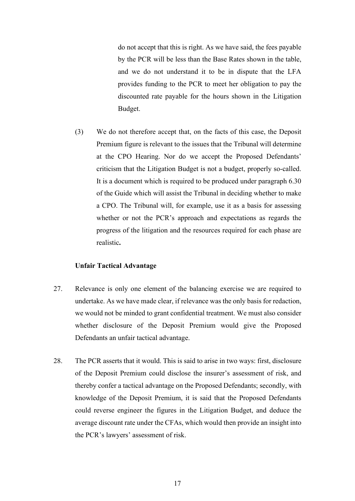do not accept that this is right. As we have said, the fees payable by the PCR will be less than the Base Rates shown in the table, and we do not understand it to be in dispute that the LFA provides funding to the PCR to meet her obligation to pay the discounted rate payable for the hours shown in the Litigation Budget.

(3) We do not therefore accept that, on the facts of this case, the Deposit Premium figure is relevant to the issues that the Tribunal will determine at the CPO Hearing. Nor do we accept the Proposed Defendants' criticism that the Litigation Budget is not a budget, properly so-called. It is a document which is required to be produced under paragraph 6.30 of the Guide which will assist the Tribunal in deciding whether to make a CPO. The Tribunal will, for example, use it as a basis for assessing whether or not the PCR's approach and expectations as regards the progress of the litigation and the resources required for each phase are realistic**.** 

### **Unfair Tactical Advantage**

- 27. Relevance is only one element of the balancing exercise we are required to undertake. As we have made clear, if relevance was the only basis for redaction, we would not be minded to grant confidential treatment. We must also consider whether disclosure of the Deposit Premium would give the Proposed Defendants an unfair tactical advantage.
- 28. The PCR asserts that it would. This is said to arise in two ways: first, disclosure of the Deposit Premium could disclose the insurer's assessment of risk, and thereby confer a tactical advantage on the Proposed Defendants; secondly, with knowledge of the Deposit Premium, it is said that the Proposed Defendants could reverse engineer the figures in the Litigation Budget, and deduce the average discount rate under the CFAs, which would then provide an insight into the PCR's lawyers' assessment of risk.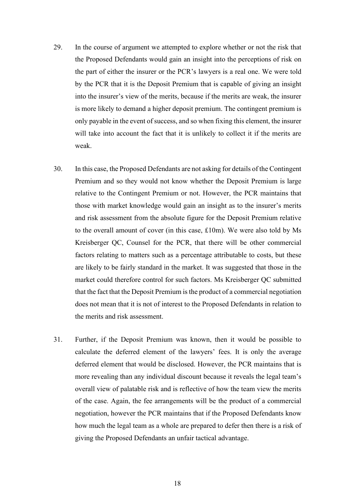- 29. In the course of argument we attempted to explore whether or not the risk that the Proposed Defendants would gain an insight into the perceptions of risk on the part of either the insurer or the PCR's lawyers is a real one. We were told by the PCR that it is the Deposit Premium that is capable of giving an insight into the insurer's view of the merits, because if the merits are weak, the insurer is more likely to demand a higher deposit premium. The contingent premium is only payable in the event of success, and so when fixing this element, the insurer will take into account the fact that it is unlikely to collect it if the merits are weak.
- 30. In this case, the Proposed Defendants are not asking for details of the Contingent Premium and so they would not know whether the Deposit Premium is large relative to the Contingent Premium or not. However, the PCR maintains that those with market knowledge would gain an insight as to the insurer's merits and risk assessment from the absolute figure for the Deposit Premium relative to the overall amount of cover (in this case, £10m). We were also told by Ms Kreisberger QC, Counsel for the PCR, that there will be other commercial factors relating to matters such as a percentage attributable to costs, but these are likely to be fairly standard in the market. It was suggested that those in the market could therefore control for such factors. Ms Kreisberger QC submitted that the fact that the Deposit Premium is the product of a commercial negotiation does not mean that it is not of interest to the Proposed Defendants in relation to the merits and risk assessment.
- 31. Further, if the Deposit Premium was known, then it would be possible to calculate the deferred element of the lawyers' fees. It is only the average deferred element that would be disclosed. However, the PCR maintains that is more revealing than any individual discount because it reveals the legal team's overall view of palatable risk and is reflective of how the team view the merits of the case. Again, the fee arrangements will be the product of a commercial negotiation, however the PCR maintains that if the Proposed Defendants know how much the legal team as a whole are prepared to defer then there is a risk of giving the Proposed Defendants an unfair tactical advantage.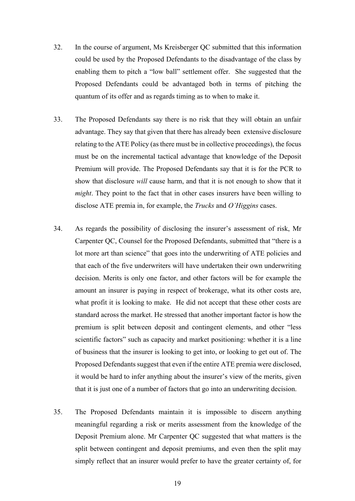- 32. In the course of argument, Ms Kreisberger QC submitted that this information could be used by the Proposed Defendants to the disadvantage of the class by enabling them to pitch a "low ball" settlement offer. She suggested that the Proposed Defendants could be advantaged both in terms of pitching the quantum of its offer and as regards timing as to when to make it.
- 33. The Proposed Defendants say there is no risk that they will obtain an unfair advantage. They say that given that there has already been extensive disclosure relating to the ATE Policy (as there must be in collective proceedings), the focus must be on the incremental tactical advantage that knowledge of the Deposit Premium will provide. The Proposed Defendants say that it is for the PCR to show that disclosure *will* cause harm, and that it is not enough to show that it *might*. They point to the fact that in other cases insurers have been willing to disclose ATE premia in, for example, the *Trucks* and *O'Higgins* cases.
- 34. As regards the possibility of disclosing the insurer's assessment of risk, Mr Carpenter QC, Counsel for the Proposed Defendants, submitted that "there is a lot more art than science" that goes into the underwriting of ATE policies and that each of the five underwriters will have undertaken their own underwriting decision. Merits is only one factor, and other factors will be for example the amount an insurer is paying in respect of brokerage, what its other costs are, what profit it is looking to make. He did not accept that these other costs are standard across the market. He stressed that another important factor is how the premium is split between deposit and contingent elements, and other "less scientific factors" such as capacity and market positioning: whether it is a line of business that the insurer is looking to get into, or looking to get out of. The Proposed Defendants suggest that even if the entire ATE premia were disclosed, it would be hard to infer anything about the insurer's view of the merits, given that it is just one of a number of factors that go into an underwriting decision.
- 35. The Proposed Defendants maintain it is impossible to discern anything meaningful regarding a risk or merits assessment from the knowledge of the Deposit Premium alone. Mr Carpenter QC suggested that what matters is the split between contingent and deposit premiums, and even then the split may simply reflect that an insurer would prefer to have the greater certainty of, for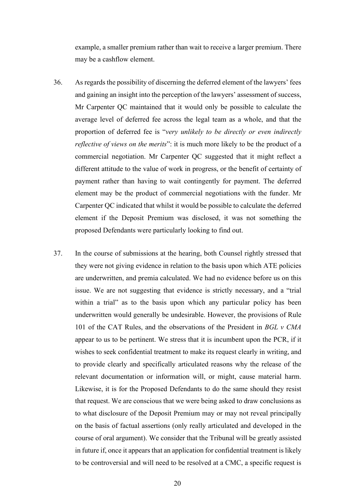example, a smaller premium rather than wait to receive a larger premium. There may be a cashflow element.

- 36. As regards the possibility of discerning the deferred element of the lawyers' fees and gaining an insight into the perception of the lawyers' assessment of success, Mr Carpenter QC maintained that it would only be possible to calculate the average level of deferred fee across the legal team as a whole, and that the proportion of deferred fee is "*very unlikely to be directly or even indirectly reflective of views on the merits*": it is much more likely to be the product of a commercial negotiation. Mr Carpenter QC suggested that it might reflect a different attitude to the value of work in progress, or the benefit of certainty of payment rather than having to wait contingently for payment. The deferred element may be the product of commercial negotiations with the funder. Mr Carpenter QC indicated that whilst it would be possible to calculate the deferred element if the Deposit Premium was disclosed, it was not something the proposed Defendants were particularly looking to find out.
- 37. In the course of submissions at the hearing, both Counsel rightly stressed that they were not giving evidence in relation to the basis upon which ATE policies are underwritten, and premia calculated. We had no evidence before us on this issue. We are not suggesting that evidence is strictly necessary, and a "trial within a trial" as to the basis upon which any particular policy has been underwritten would generally be undesirable. However, the provisions of Rule 101 of the CAT Rules, and the observations of the President in *BGL v CMA*  appear to us to be pertinent. We stress that it is incumbent upon the PCR, if it wishes to seek confidential treatment to make its request clearly in writing, and to provide clearly and specifically articulated reasons why the release of the relevant documentation or information will, or might, cause material harm. Likewise, it is for the Proposed Defendants to do the same should they resist that request. We are conscious that we were being asked to draw conclusions as to what disclosure of the Deposit Premium may or may not reveal principally on the basis of factual assertions (only really articulated and developed in the course of oral argument). We consider that the Tribunal will be greatly assisted in future if, once it appears that an application for confidential treatment is likely to be controversial and will need to be resolved at a CMC, a specific request is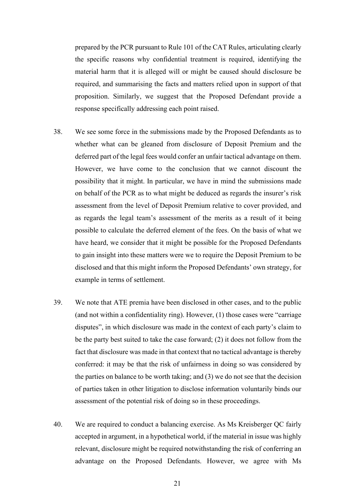prepared by the PCR pursuant to Rule 101 of the CAT Rules, articulating clearly the specific reasons why confidential treatment is required, identifying the material harm that it is alleged will or might be caused should disclosure be required, and summarising the facts and matters relied upon in support of that proposition. Similarly, we suggest that the Proposed Defendant provide a response specifically addressing each point raised.

- 38. We see some force in the submissions made by the Proposed Defendants as to whether what can be gleaned from disclosure of Deposit Premium and the deferred part of the legal fees would confer an unfair tactical advantage on them. However, we have come to the conclusion that we cannot discount the possibility that it might. In particular, we have in mind the submissions made on behalf of the PCR as to what might be deduced as regards the insurer's risk assessment from the level of Deposit Premium relative to cover provided, and as regards the legal team's assessment of the merits as a result of it being possible to calculate the deferred element of the fees. On the basis of what we have heard, we consider that it might be possible for the Proposed Defendants to gain insight into these matters were we to require the Deposit Premium to be disclosed and that this might inform the Proposed Defendants' own strategy, for example in terms of settlement.
- 39. We note that ATE premia have been disclosed in other cases, and to the public (and not within a confidentiality ring). However, (1) those cases were "carriage disputes", in which disclosure was made in the context of each party's claim to be the party best suited to take the case forward; (2) it does not follow from the fact that disclosure was made in that context that no tactical advantage is thereby conferred: it may be that the risk of unfairness in doing so was considered by the parties on balance to be worth taking; and (3) we do not see that the decision of parties taken in other litigation to disclose information voluntarily binds our assessment of the potential risk of doing so in these proceedings.
- 40. We are required to conduct a balancing exercise. As Ms Kreisberger QC fairly accepted in argument, in a hypothetical world, if the material in issue was highly relevant, disclosure might be required notwithstanding the risk of conferring an advantage on the Proposed Defendants. However, we agree with Ms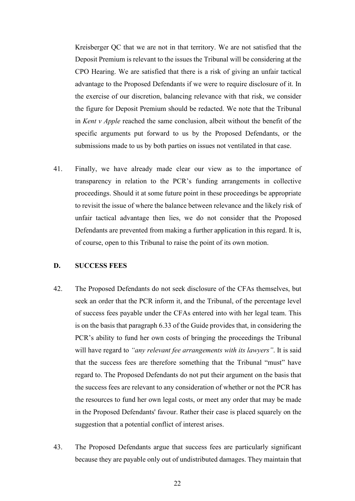Kreisberger QC that we are not in that territory. We are not satisfied that the Deposit Premium is relevant to the issues the Tribunal will be considering at the CPO Hearing. We are satisfied that there is a risk of giving an unfair tactical advantage to the Proposed Defendants if we were to require disclosure of it. In the exercise of our discretion, balancing relevance with that risk, we consider the figure for Deposit Premium should be redacted. We note that the Tribunal in *Kent v Apple* reached the same conclusion, albeit without the benefit of the specific arguments put forward to us by the Proposed Defendants, or the submissions made to us by both parties on issues not ventilated in that case.

41. Finally, we have already made clear our view as to the importance of transparency in relation to the PCR's funding arrangements in collective proceedings. Should it at some future point in these proceedings be appropriate to revisit the issue of where the balance between relevance and the likely risk of unfair tactical advantage then lies, we do not consider that the Proposed Defendants are prevented from making a further application in this regard. It is, of course, open to this Tribunal to raise the point of its own motion.

### **D. SUCCESS FEES**

- 42. The Proposed Defendants do not seek disclosure of the CFAs themselves, but seek an order that the PCR inform it, and the Tribunal, of the percentage level of success fees payable under the CFAs entered into with her legal team. This is on the basis that paragraph 6.33 of the Guide provides that, in considering the PCR's ability to fund her own costs of bringing the proceedings the Tribunal will have regard to *"any relevant fee arrangements with its lawyers"*. It is said that the success fees are therefore something that the Tribunal "must" have regard to. The Proposed Defendants do not put their argument on the basis that the success fees are relevant to any consideration of whether or not the PCR has the resources to fund her own legal costs, or meet any order that may be made in the Proposed Defendants' favour. Rather their case is placed squarely on the suggestion that a potential conflict of interest arises.
- 43. The Proposed Defendants argue that success fees are particularly significant because they are payable only out of undistributed damages. They maintain that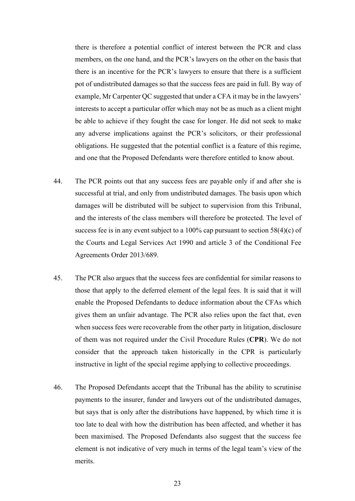there is therefore a potential conflict of interest between the PCR and class members, on the one hand, and the PCR's lawyers on the other on the basis that there is an incentive for the PCR's lawyers to ensure that there is a sufficient pot of undistributed damages so that the success fees are paid in full. By way of example, Mr Carpenter QC suggested that under a CFA it may be in the lawyers' interests to accept a particular offer which may not be as much as a client might be able to achieve if they fought the case for longer. He did not seek to make any adverse implications against the PCR's solicitors, or their professional obligations. He suggested that the potential conflict is a feature of this regime, and one that the Proposed Defendants were therefore entitled to know about.

- 44. The PCR points out that any success fees are payable only if and after she is successful at trial, and only from undistributed damages. The basis upon which damages will be distributed will be subject to supervision from this Tribunal, and the interests of the class members will therefore be protected. The level of success fee is in any event subject to a 100% cap pursuant to section 58(4)(c) of the Courts and Legal Services Act 1990 and article 3 of the Conditional Fee Agreements Order 2013/689.
- 45. The PCR also argues that the success fees are confidential for similar reasons to those that apply to the deferred element of the legal fees. It is said that it will enable the Proposed Defendants to deduce information about the CFAs which gives them an unfair advantage. The PCR also relies upon the fact that, even when success fees were recoverable from the other party in litigation, disclosure of them was not required under the Civil Procedure Rules (**CPR**). We do not consider that the approach taken historically in the CPR is particularly instructive in light of the special regime applying to collective proceedings.
- 46. The Proposed Defendants accept that the Tribunal has the ability to scrutinise payments to the insurer, funder and lawyers out of the undistributed damages, but says that is only after the distributions have happened, by which time it is too late to deal with how the distribution has been affected, and whether it has been maximised. The Proposed Defendants also suggest that the success fee element is not indicative of very much in terms of the legal team's view of the merits.